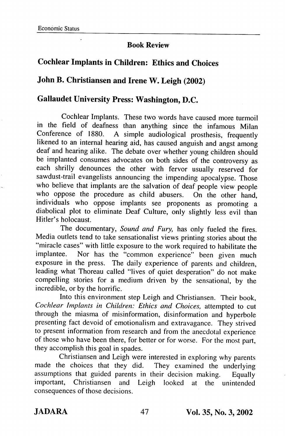## Book Review

## Cochlear Implants in Children: Ethics and Choices

## John B. Christiansen and Irene W. Leigh (2002)

## Gallaudet University Press: Washington, D.C.

Cochlear Implants. These two words have caused more turmoil in the field of deafness than anything since the infamous Milan Conference of 1880. A simple audiological prosthesis, frequently likened to an internal hearing aid, has caused anguish and angst among deaf and hearing alike. The debate over whether young children should be implanted consumes advocates on both sides of the controversy as each shrilly denounces the other with fervor usually reserved for sawdust-trail evangelists announcing the impending apocalypse. Those who believe that implants are the salvation of deaf people view people who oppose the procedure as child abusers. On the other hand, individuals who oppose implants see proponents as promoting a diabolical plot to eliminate Deaf Culture, only slightly less evil than Hitler's holocaust.

The documentary, Sound and Fury, has only fueled the fires. Media outlets tend to take sensationalist views printing stories about the "miracle cases" with little exposure to the work required to habilitate the implantee. Nor has the "common experience" been given much exposure in the press. The daily experience of parents and children, leading what Thoreau called "lives of quiet desperation" do not make compelling stories for a medium driven by the sensational, by the incredible, or by the horrific.

Into this environment step Leigh and Christiansen. Their book, Cochlear Implants in Children: Ethics and Choices, attempted to cut through the miasma of misinformation, disinformation and hyperbole presenting fact devoid of emotionalism and extravagance. They strived to present information from research and from the anecdotal experience of those who have been there, for better or for worse. For the most part, they accomplish this goal in spades.

Christiansen and Leigh were interested in exploring why parents made the choices that they did. They examined the underlying assumptions that guided parents in their decision making. Equally important, Christiansen and Leigh looked at the unintended consequences of those decisions.